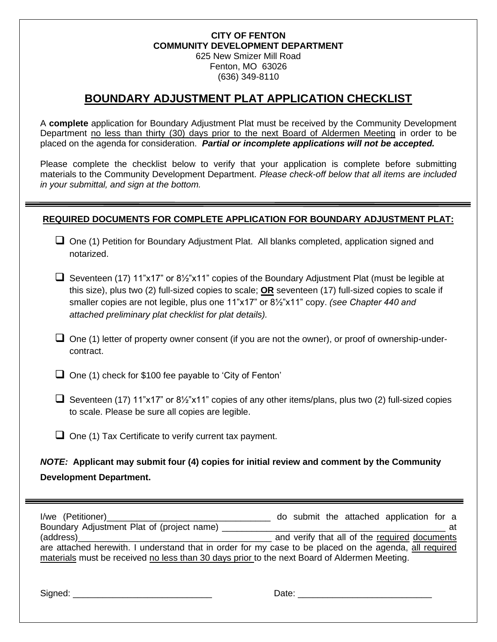#### **CITY OF FENTON COMMUNITY DEVELOPMENT DEPARTMENT** 625 New Smizer Mill Road

Fenton, MO 63026 (636) 349-8110

## **BOUNDARY ADJUSTMENT PLAT APPLICATION CHECKLIST**

A **complete** application for Boundary Adjustment Plat must be received by the Community Development Department no less than thirty (30) days prior to the next Board of Aldermen Meeting in order to be placed on the agenda for consideration. *Partial or incomplete applications will not be accepted.* 

Please complete the checklist below to verify that your application is complete before submitting materials to the Community Development Department. *Please check-off below that all items are included in your submittal, and sign at the bottom.*

#### **REQUIRED DOCUMENTS FOR COMPLETE APPLICATION FOR BOUNDARY ADJUSTMENT PLAT:**

- ❑ One (1) Petition for Boundary Adjustment Plat. All blanks completed, application signed and notarized.
- ❑ Seventeen (17) 11"x17" or 8½"x11" copies of the Boundary Adjustment Plat (must be legible at this size), plus two (2) full-sized copies to scale; **OR** seventeen (17) full-sized copies to scale if smaller copies are not legible, plus one 11"x17" or 8½"x11" copy. *(see Chapter 440 and attached preliminary plat checklist for plat details).*
- $\Box$  One (1) letter of property owner consent (if you are not the owner), or proof of ownership-undercontract.

❑ One (1) check for \$100 fee payable to 'City of Fenton'

- ❑ Seventeen (17) 11"x17" or 8½"x11" copies of any other items/plans, plus two (2) full-sized copies to scale. Please be sure all copies are legible.
- ❑ One (1) Tax Certificate to verify current tax payment.

### *NOTE:* **Applicant may submit four (4) copies for initial review and comment by the Community Development Department.**

| I/we (Petitioner)_______________________                                                                                                                                                                            | do submit the attached application for a      |
|---------------------------------------------------------------------------------------------------------------------------------------------------------------------------------------------------------------------|-----------------------------------------------|
| Boundary Adjustment Plat of (project name)                                                                                                                                                                          | at                                            |
| (address)<br>are attached herewith. I understand that in order for my case to be placed on the agenda, all required<br>materials must be received no less than 30 days prior to the next Board of Aldermen Meeting. | and verify that all of the required documents |

Signed: \_\_\_\_\_\_\_\_\_\_\_\_\_\_\_\_\_\_\_\_\_\_\_\_\_\_\_\_ Date: \_\_\_\_\_\_\_\_\_\_\_\_\_\_\_\_\_\_\_\_\_\_\_\_\_\_\_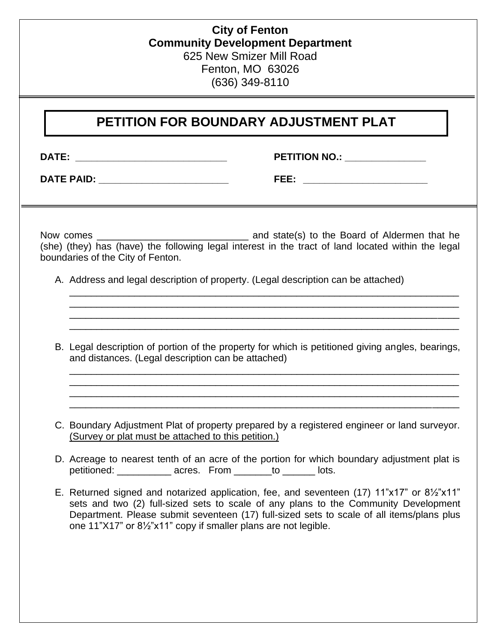### **City of Fenton Community Development Department** 625 New Smizer Mill Road Fenton, MO 63026 (636) 349-8110

# **PETITION FOR BOUNDARY ADJUSTMENT PLAT**

**DATE: \_\_\_\_\_\_\_\_\_\_\_\_\_\_\_\_\_\_\_\_\_\_\_\_\_\_\_\_ PETITION NO.: \_\_\_\_\_\_\_\_\_\_\_\_\_\_\_**

**DATE PAID: \_\_\_\_\_\_\_\_\_\_\_\_\_\_\_\_\_\_\_\_\_\_\_\_ FEE: \_\_\_\_\_\_\_\_\_\_\_\_\_\_\_\_\_\_\_\_\_\_\_** 

Now comes \_\_\_\_\_\_\_\_\_\_\_\_\_\_\_\_\_\_\_\_\_\_\_\_\_\_\_\_ and state(s) to the Board of Aldermen that he (she) (they) has (have) the following legal interest in the tract of land located within the legal boundaries of the City of Fenton.

A. Address and legal description of property. (Legal description can be attached)

B. Legal description of portion of the property for which is petitioned giving angles, bearings, and distances. (Legal description can be attached)

\_\_\_\_\_\_\_\_\_\_\_\_\_\_\_\_\_\_\_\_\_\_\_\_\_\_\_\_\_\_\_\_\_\_\_\_\_\_\_\_\_\_\_\_\_\_\_\_\_\_\_\_\_\_\_\_\_\_\_\_\_\_\_\_\_\_\_\_\_\_\_\_ \_\_\_\_\_\_\_\_\_\_\_\_\_\_\_\_\_\_\_\_\_\_\_\_\_\_\_\_\_\_\_\_\_\_\_\_\_\_\_\_\_\_\_\_\_\_\_\_\_\_\_\_\_\_\_\_\_\_\_\_\_\_\_\_\_\_\_\_\_\_\_\_ \_\_\_\_\_\_\_\_\_\_\_\_\_\_\_\_\_\_\_\_\_\_\_\_\_\_\_\_\_\_\_\_\_\_\_\_\_\_\_\_\_\_\_\_\_\_\_\_\_\_\_\_\_\_\_\_\_\_\_\_\_\_\_\_\_\_\_\_\_\_\_\_ \_\_\_\_\_\_\_\_\_\_\_\_\_\_\_\_\_\_\_\_\_\_\_\_\_\_\_\_\_\_\_\_\_\_\_\_\_\_\_\_\_\_\_\_\_\_\_\_\_\_\_\_\_\_\_\_\_\_\_\_\_\_\_\_\_\_\_\_\_\_\_\_

\_\_\_\_\_\_\_\_\_\_\_\_\_\_\_\_\_\_\_\_\_\_\_\_\_\_\_\_\_\_\_\_\_\_\_\_\_\_\_\_\_\_\_\_\_\_\_\_\_\_\_\_\_\_\_\_\_\_\_\_\_\_\_\_\_\_\_\_\_\_\_\_ \_\_\_\_\_\_\_\_\_\_\_\_\_\_\_\_\_\_\_\_\_\_\_\_\_\_\_\_\_\_\_\_\_\_\_\_\_\_\_\_\_\_\_\_\_\_\_\_\_\_\_\_\_\_\_\_\_\_\_\_\_\_\_\_\_\_\_\_\_\_\_\_ \_\_\_\_\_\_\_\_\_\_\_\_\_\_\_\_\_\_\_\_\_\_\_\_\_\_\_\_\_\_\_\_\_\_\_\_\_\_\_\_\_\_\_\_\_\_\_\_\_\_\_\_\_\_\_\_\_\_\_\_\_\_\_\_\_\_\_\_\_\_\_\_ \_\_\_\_\_\_\_\_\_\_\_\_\_\_\_\_\_\_\_\_\_\_\_\_\_\_\_\_\_\_\_\_\_\_\_\_\_\_\_\_\_\_\_\_\_\_\_\_\_\_\_\_\_\_\_\_\_\_\_\_\_\_\_\_\_\_\_\_\_\_\_\_

- C. Boundary Adjustment Plat of property prepared by a registered engineer or land surveyor. (Survey or plat must be attached to this petition.)
- D. Acreage to nearest tenth of an acre of the portion for which boundary adjustment plat is petitioned: \_\_\_\_\_\_\_\_\_ acres. From \_\_\_\_\_\_\_to \_\_\_\_\_\_\_ lots.
- E. Returned signed and notarized application, fee, and seventeen (17) 11"x17" or 8½"x11" sets and two (2) full-sized sets to scale of any plans to the Community Development Department. Please submit seventeen (17) full-sized sets to scale of all items/plans plus one 11"X17" or 8½"x11" copy if smaller plans are not legible.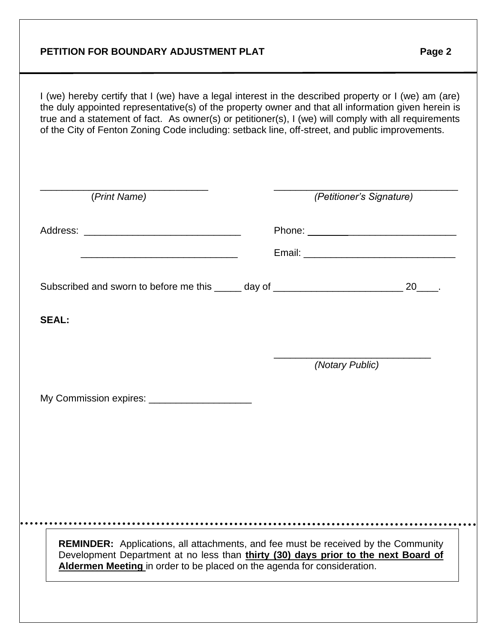#### **PETITION FOR BOUNDARY ADJUSTMENT PLAT FOR A Page 2**

i e

I (we) hereby certify that I (we) have a legal interest in the described property or I (we) am (are) the duly appointed representative(s) of the property owner and that all information given herein is true and a statement of fact. As owner(s) or petitioner(s), I (we) will comply with all requirements of the City of Fenton Zoning Code including: setback line, off-street, and public improvements.

| (Print Name)                                                                                                                                                                                                                                               |  | (Petitioner's Signature) |
|------------------------------------------------------------------------------------------------------------------------------------------------------------------------------------------------------------------------------------------------------------|--|--------------------------|
|                                                                                                                                                                                                                                                            |  |                          |
| <u> 1989 - Johann John Stein, markin film yn y brenin y brenin y brenin y brenin y brenin y brenin y brenin y br</u>                                                                                                                                       |  |                          |
| Subscribed and sworn to before me this _____ day of ____________________________ 20____.                                                                                                                                                                   |  |                          |
| <b>SEAL:</b>                                                                                                                                                                                                                                               |  |                          |
|                                                                                                                                                                                                                                                            |  | (Notary Public)          |
| My Commission expires: _______________________                                                                                                                                                                                                             |  |                          |
|                                                                                                                                                                                                                                                            |  |                          |
|                                                                                                                                                                                                                                                            |  |                          |
|                                                                                                                                                                                                                                                            |  |                          |
|                                                                                                                                                                                                                                                            |  |                          |
| <b>REMINDER:</b> Applications, all attachments, and fee must be received by the Community<br>Development Department at no less than thirty (30) days prior to the next Board of<br>Aldermen Meeting in order to be placed on the agenda for consideration. |  |                          |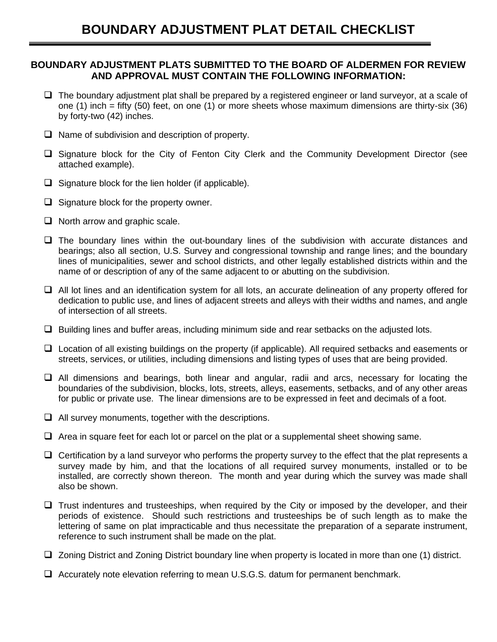#### **BOUNDARY ADJUSTMENT PLATS SUBMITTED TO THE BOARD OF ALDERMEN FOR REVIEW AND APPROVAL MUST CONTAIN THE FOLLOWING INFORMATION:**

- ❑ The boundary adjustment plat shall be prepared by a registered engineer or land surveyor, at a scale of one (1) inch = fifty (50) feet, on one (1) or more sheets whose maximum dimensions are thirty-six (36) by forty-two (42) inches.
- ❑ Name of subdivision and description of property.
- ❑ Signature block for the City of Fenton City Clerk and the Community Development Director (see attached example).
- $\Box$  Signature block for the lien holder (if applicable).
- ❑ Signature block for the property owner.
- ❑ North arrow and graphic scale.
- ❑ The boundary lines within the out-boundary lines of the subdivision with accurate distances and bearings; also all section, U.S. Survey and congressional township and range lines; and the boundary lines of municipalities, sewer and school districts, and other legally established districts within and the name of or description of any of the same adjacent to or abutting on the subdivision.
- ❑ All lot lines and an identification system for all lots, an accurate delineation of any property offered for dedication to public use, and lines of adjacent streets and alleys with their widths and names, and angle of intersection of all streets.
- ❑ Building lines and buffer areas, including minimum side and rear setbacks on the adjusted lots.
- ❑ Location of all existing buildings on the property (if applicable). All required setbacks and easements or streets, services, or utilities, including dimensions and listing types of uses that are being provided.
- ❑ All dimensions and bearings, both linear and angular, radii and arcs, necessary for locating the boundaries of the subdivision, blocks, lots, streets, alleys, easements, setbacks, and of any other areas for public or private use. The linear dimensions are to be expressed in feet and decimals of a foot.
- $\Box$  All survey monuments, together with the descriptions.
- $\Box$  Area in square feet for each lot or parcel on the plat or a supplemental sheet showing same.
- $\Box$  Certification by a land surveyor who performs the property survey to the effect that the plat represents a survey made by him, and that the locations of all required survey monuments, installed or to be installed, are correctly shown thereon. The month and year during which the survey was made shall also be shown.
- ❑ Trust indentures and trusteeships, when required by the City or imposed by the developer, and their periods of existence. Should such restrictions and trusteeships be of such length as to make the lettering of same on plat impracticable and thus necessitate the preparation of a separate instrument, reference to such instrument shall be made on the plat.
- ❑ Zoning District and Zoning District boundary line when property is located in more than one (1) district.
- ❑ Accurately note elevation referring to mean U.S.G.S. datum for permanent benchmark.